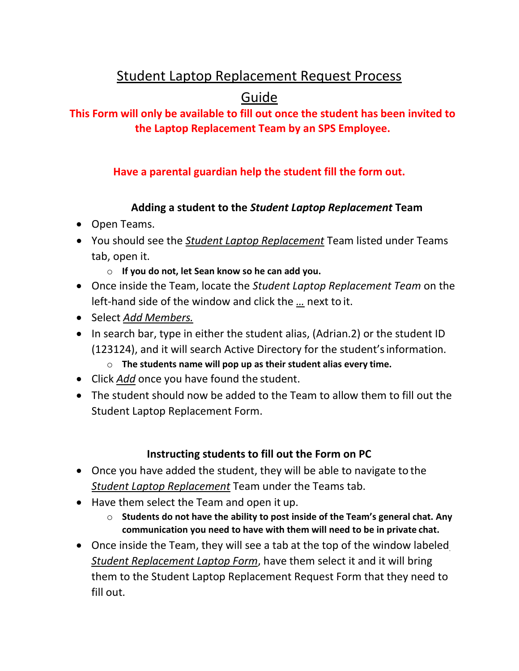## Student Laptop Replacement Request Process

# Guide

## **This Form will only be available to fill out once the student has been invited to the Laptop Replacement Team by an SPS Employee.**

## **Have a parental guardian help the student fill the form out.**

#### **Adding a student to the** *Student Laptop Replacement* **Team**

- Open Teams.
- You should see the *Student Laptop Replacement* Team listed under Teams tab, open it.
	- o **If you do not, let Sean know so he can add you.**
- Once inside the Team, locate the *Student Laptop Replacement Team* on the left-hand side of the window and click the *…* next to it.
- Select *Add Members.*
- In search bar, type in either the student alias, (Adrian.2) or the student ID (123124), and it will search Active Directory for the student'sinformation.
	- o **The students name will pop up as their student alias every time.**
- Click *Add* once you have found the student.
- The student should now be added to the Team to allow them to fill out the Student Laptop Replacement Form.

#### **Instructing students to fill out the Form on PC**

- Once you have added the student, they will be able to navigate to the *Student Laptop Replacement* Team under the Teams tab.
- Have them select the Team and open it up.
	- o **Students do not have the ability to post inside of the Team's general chat. Any communication you need to have with them will need to be in private chat.**
- Once inside the Team, they will see a tab at the top of the window labeled *Student Replacement Laptop Form*, have them select it and it will bring them to the Student Laptop Replacement Request Form that they need to fill out.